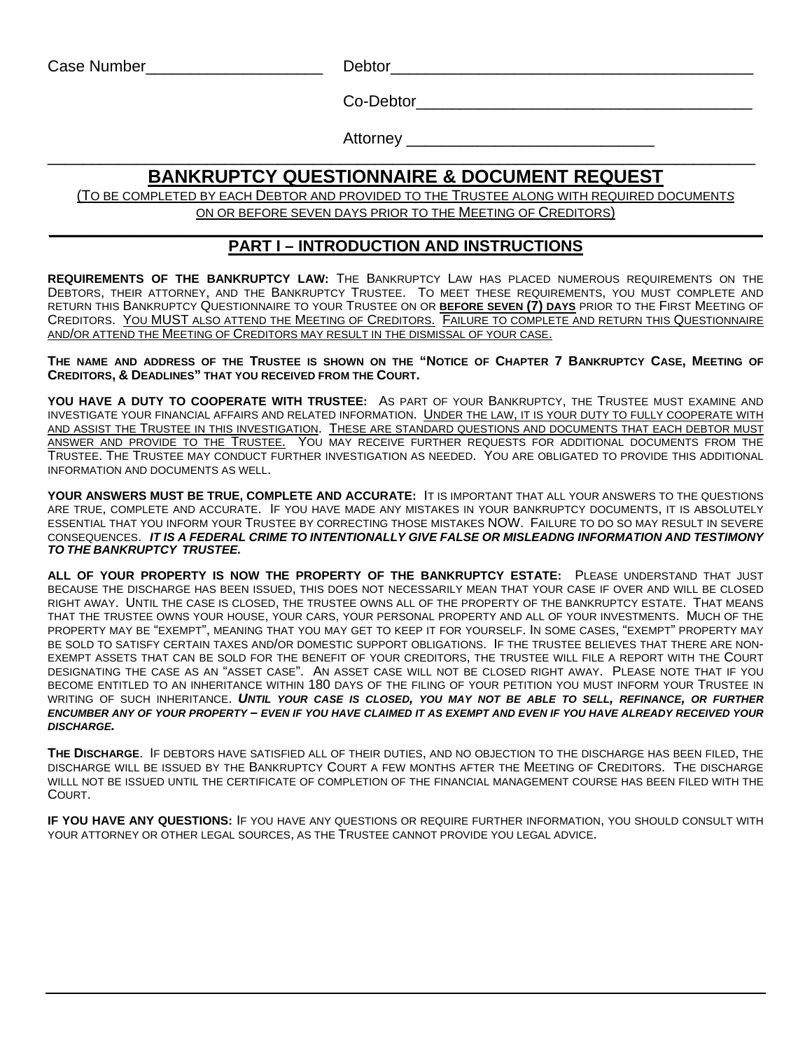Case Number\_\_\_\_\_\_\_\_\_\_\_\_\_\_\_\_\_\_\_\_ Debtor\_\_\_\_\_\_\_\_\_\_\_\_\_\_\_\_\_\_\_\_\_\_\_\_\_\_\_\_\_\_\_\_\_\_\_\_\_\_\_\_\_

Co-Debtor\_\_\_\_\_\_\_\_\_\_\_\_\_\_\_\_\_\_\_\_\_\_\_\_\_\_\_\_\_\_\_\_\_\_\_\_\_\_

Attorney \_\_\_\_\_\_\_\_\_\_\_\_\_\_\_\_\_\_\_\_\_\_\_\_\_\_\_\_

### \_\_\_\_\_\_\_\_\_\_\_\_\_\_\_\_\_\_\_\_\_\_\_\_\_\_\_\_\_\_\_\_\_\_\_\_\_\_\_\_\_\_\_\_\_\_\_\_\_\_\_\_\_\_\_\_\_\_\_\_\_\_\_\_\_\_\_\_\_\_\_\_\_\_\_\_\_\_\_\_ **BANKRUPTCY QUESTIONNAIRE & DOCUMENT REQUEST**

(TO BE COMPLETED BY EACH DEBTOR AND PROVIDED TO THE TRUSTEE ALONG WITH REQUIRED DOCUMENT*S* ON OR BEFORE SEVEN DAYS PRIOR TO THE MEETING OF CREDITORS)

#### **\_\_\_\_\_\_\_\_\_\_\_\_\_\_\_\_\_\_\_\_\_\_\_\_\_\_\_\_\_\_\_\_\_\_\_\_\_\_\_\_\_\_\_\_\_\_\_\_\_\_\_\_\_\_\_\_\_\_\_\_\_\_\_\_\_\_\_\_\_\_\_\_\_\_\_\_\_\_\_\_\_\_\_\_\_\_\_\_ PART I – INTRODUCTION AND INSTRUCTIONS**

**REQUIREMENTS OF THE BANKRUPTCY LAW:** THE BANKRUPTCY LAW HAS PLACED NUMEROUS REQUIREMENTS ON THE DEBTORS, THEIR ATTORNEY, AND THE BANKRUPTCY TRUSTEE. TO MEET THESE REQUIREMENTS, YOU MUST COMPLETE AND RETURN THIS BANKRUPTCY QUESTIONNAIRE TO YOUR TRUSTEE ON OR **BEFORE SEVEN (7) DAYS** PRIOR TO THE FIRST MEETING OF CREDITORS. YOU MUST ALSO ATTEND THE MEETING OF CREDITORS. FAILURE TO COMPLETE AND RETURN THIS QUESTIONNAIRE AND/OR ATTEND THE MEETING OF CREDITORS MAY RESULT IN THE DISMISSAL OF YOUR CASE.

**THE NAME AND ADDRESS OF THE TRUSTEE IS SHOWN ON THE "NOTICE OF CHAPTER 7 BANKRUPTCY CASE, MEETING OF CREDITORS, & DEADLINES" THAT YOU RECEIVED FROM THE COURT.** 

**YOU HAVE A DUTY TO COOPERATE WITH TRUSTEE:** AS PART OF YOUR BANKRUPTCY, THE TRUSTEE MUST EXAMINE AND INVESTIGATE YOUR FINANCIAL AFFAIRS AND RELATED INFORMATION. UNDER THE LAW, IT IS YOUR DUTY TO FULLY COOPERATE WITH AND ASSIST THE TRUSTEE IN THIS INVESTIGATION. THESE ARE STANDARD QUESTIONS AND DOCUMENTS THAT EACH DEBTOR MUST ANSWER AND PROVIDE TO THE TRUSTEE. YOU MAY RECEIVE FURTHER REQUESTS FOR ADDITIONAL DOCUMENTS FROM THE TRUSTEE. THE TRUSTEE MAY CONDUCT FURTHER INVESTIGATION AS NEEDED. YOU ARE OBLIGATED TO PROVIDE THIS ADDITIONAL INFORMATION AND DOCUMENTS AS WELL.

**YOUR ANSWERS MUST BE TRUE, COMPLETE AND ACCURATE:** IT IS IMPORTANT THAT ALL YOUR ANSWERS TO THE QUESTIONS ARE TRUE, COMPLETE AND ACCURATE. IF YOU HAVE MADE ANY MISTAKES IN YOUR BANKRUPTCY DOCUMENTS, IT IS ABSOLUTELY ESSENTIAL THAT YOU INFORM YOUR TRUSTEE BY CORRECTING THOSE MISTAKES NOW. FAILURE TO DO SO MAY RESULT IN SEVERE CONSEQUENCES. *IT IS A FEDERAL CRIME TO INTENTIONALLY GIVE FALSE OR MISLEADNG INFORMATION AND TESTIMONY TO THE BANKRUPTCY TRUSTEE.*

**ALL OF YOUR PROPERTY IS NOW THE PROPERTY OF THE BANKRUPTCY ESTATE:** PLEASE UNDERSTAND THAT JUST BECAUSE THE DISCHARGE HAS BEEN ISSUED, THIS DOES NOT NECESSARILY MEAN THAT YOUR CASE IF OVER AND WILL BE CLOSED RIGHT AWAY. UNTIL THE CASE IS CLOSED, THE TRUSTEE OWNS ALL OF THE PROPERTY OF THE BANKRUPTCY ESTATE. THAT MEANS THAT THE TRUSTEE OWNS YOUR HOUSE, YOUR CARS, YOUR PERSONAL PROPERTY AND ALL OF YOUR INVESTMENTS. MUCH OF THE PROPERTY MAY BE "EXEMPT", MEANING THAT YOU MAY GET TO KEEP IT FOR YOURSELF. IN SOME CASES, "EXEMPT" PROPERTY MAY BE SOLD TO SATISFY CERTAIN TAXES AND/OR DOMESTIC SUPPORT OBLIGATIONS. IF THE TRUSTEE BELIEVES THAT THERE ARE NON-EXEMPT ASSETS THAT CAN BE SOLD FOR THE BENEFIT OF YOUR CREDITORS, THE TRUSTEE WILL FILE A REPORT WITH THE COURT DESIGNATING THE CASE AS AN "ASSET CASE". AN ASSET CASE WILL NOT BE CLOSED RIGHT AWAY. PLEASE NOTE THAT IF YOU BECOME ENTITLED TO AN INHERITANCE WITHIN 180 DAYS OF THE FILING OF YOUR PETITION YOU MUST INFORM YOUR TRUSTEE IN WRITING OF SUCH INHERITANCE. *UNTIL YOUR CASE IS CLOSED, YOU MAY NOT BE ABLE TO SELL, REFINANCE, OR FURTHER ENCUMBER ANY OF YOUR PROPERTY – EVEN IF YOU HAVE CLAIMED IT AS EXEMPT AND EVEN IF YOU HAVE ALREADY RECEIVED YOUR DISCHARGE.* 

**THE DISCHARGE**. IF DEBTORS HAVE SATISFIED ALL OF THEIR DUTIES, AND NO OBJECTION TO THE DISCHARGE HAS BEEN FILED, THE DISCHARGE WILL BE ISSUED BY THE BANKRUPTCY COURT A FEW MONTHS AFTER THE MEETING OF CREDITORS. THE DISCHARGE WILLL NOT BE ISSUED UNTIL THE CERTIFICATE OF COMPLETION OF THE FINANCIAL MANAGEMENT COURSE HAS BEEN FILED WITH THE COURT.

**IF YOU HAVE ANY QUESTIONS:** IF YOU HAVE ANY QUESTIONS OR REQUIRE FURTHER INFORMATION, YOU SHOULD CONSULT WITH YOUR ATTORNEY OR OTHER LEGAL SOURCES, AS THE TRUSTEE CANNOT PROVIDE YOU LEGAL ADVICE.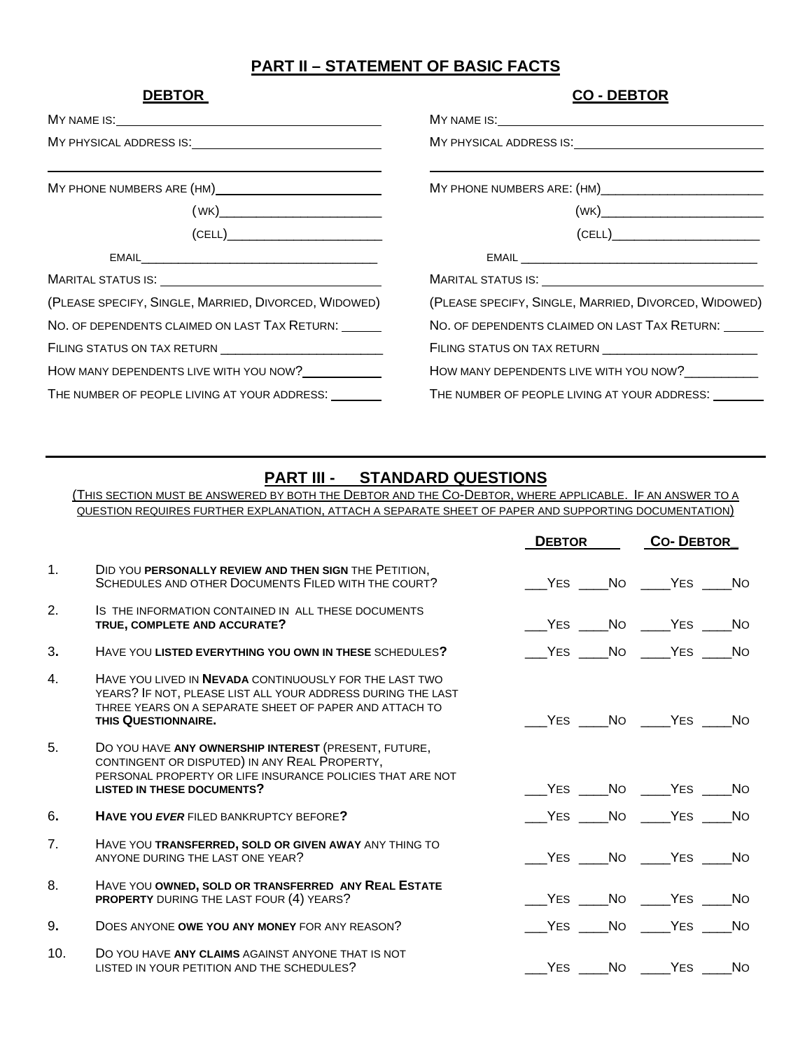## **PART II – STATEMENT OF BASIC FACTS**

| <b>DEBTOR</b>                                                                                                                                                                                                                                                                                                                                            | <b>CO-DEBTOR</b>                                                                                                                                                                                                                                                                                                                                                   |
|----------------------------------------------------------------------------------------------------------------------------------------------------------------------------------------------------------------------------------------------------------------------------------------------------------------------------------------------------------|--------------------------------------------------------------------------------------------------------------------------------------------------------------------------------------------------------------------------------------------------------------------------------------------------------------------------------------------------------------------|
|                                                                                                                                                                                                                                                                                                                                                          |                                                                                                                                                                                                                                                                                                                                                                    |
|                                                                                                                                                                                                                                                                                                                                                          |                                                                                                                                                                                                                                                                                                                                                                    |
|                                                                                                                                                                                                                                                                                                                                                          |                                                                                                                                                                                                                                                                                                                                                                    |
|                                                                                                                                                                                                                                                                                                                                                          |                                                                                                                                                                                                                                                                                                                                                                    |
| $\begin{picture}(180,10) \put(0,0){\line(1,0){10}} \put(0,0){\line(1,0){10}} \put(0,0){\line(1,0){10}} \put(0,0){\line(1,0){10}} \put(0,0){\line(1,0){10}} \put(0,0){\line(1,0){10}} \put(0,0){\line(1,0){10}} \put(0,0){\line(1,0){10}} \put(0,0){\line(1,0){10}} \put(0,0){\line(1,0){10}} \put(0,0){\line(1,0){10}} \put(0,0){\line(1,0){10}} \put(0$ | $\begin{picture}(150,10) \put(0,0){\vector(1,0){100}} \put(15,0){\vector(1,0){100}} \put(15,0){\vector(1,0){100}} \put(15,0){\vector(1,0){100}} \put(15,0){\vector(1,0){100}} \put(15,0){\vector(1,0){100}} \put(15,0){\vector(1,0){100}} \put(15,0){\vector(1,0){100}} \put(15,0){\vector(1,0){100}} \put(15,0){\vector(1,0){100}} \put(15,0){\vector(1,0){100}}$ |
|                                                                                                                                                                                                                                                                                                                                                          |                                                                                                                                                                                                                                                                                                                                                                    |
|                                                                                                                                                                                                                                                                                                                                                          |                                                                                                                                                                                                                                                                                                                                                                    |
| (PLEASE SPECIFY, SINGLE, MARRIED, DIVORCED, WIDOWED)                                                                                                                                                                                                                                                                                                     | (PLEASE SPECIFY, SINGLE, MARRIED, DIVORCED, WIDOWED)                                                                                                                                                                                                                                                                                                               |
| NO. OF DEPENDENTS CLAIMED ON LAST TAX RETURN:                                                                                                                                                                                                                                                                                                            | NO. OF DEPENDENTS CLAIMED ON LAST TAX RETURN:                                                                                                                                                                                                                                                                                                                      |
| FILING STATUS ON TAX RETURN ____________________________                                                                                                                                                                                                                                                                                                 | FILING STATUS ON TAX RETURN ___________________________                                                                                                                                                                                                                                                                                                            |
| HOW MANY DEPENDENTS LIVE WITH YOU NOW?                                                                                                                                                                                                                                                                                                                   | HOW MANY DEPENDENTS LIVE WITH YOU NOW?                                                                                                                                                                                                                                                                                                                             |
| THE NUMBER OF PEOPLE LIVING AT YOUR ADDRESS:                                                                                                                                                                                                                                                                                                             | THE NUMBER OF PEOPLE LIVING AT YOUR ADDRESS:                                                                                                                                                                                                                                                                                                                       |

### **PART III - STANDARD QUESTIONS**

(THIS SECTION MUST BE ANSWERED BY BOTH THE DEBTOR AND THE CO-DEBTOR, WHERE APPLICABLE. IF AN ANSWER TO A QUESTION REQUIRES FURTHER EXPLANATION, ATTACH A SEPARATE SHEET OF PAPER AND SUPPORTING DOCUMENTATION)

|                |                                                                                                                                                                                                               |  | <b>DEBTOR</b> |                  | <b>CO-DEBTOR</b> |  |
|----------------|---------------------------------------------------------------------------------------------------------------------------------------------------------------------------------------------------------------|--|---------------|------------------|------------------|--|
| 1.             | DID YOU PERSONALLY REVIEW AND THEN SIGN THE PETITION,<br>SCHEDULES AND OTHER DOCUMENTS FILED WITH THE COURT?                                                                                                  |  |               | VES No YES No    |                  |  |
| 2.             | IS THE INFORMATION CONTAINED IN ALL THESE DOCUMENTS<br>TRUE, COMPLETE AND ACCURATE?                                                                                                                           |  |               | VES No YES No    |                  |  |
| 3.             | HAVE YOU LISTED EVERYTHING YOU OWN IN THESE SCHEDULES?                                                                                                                                                        |  |               | VES No YES No    |                  |  |
| 4.             | HAVE YOU LIVED IN <b>NEVADA</b> CONTINUOUSLY FOR THE LAST TWO<br>YEARS? IF NOT, PLEASE LIST ALL YOUR ADDRESS DURING THE LAST<br>THREE YEARS ON A SEPARATE SHEET OF PAPER AND ATTACH TO<br>THIS QUESTIONNAIRE. |  |               | No YES No YES No |                  |  |
| 5 <sub>1</sub> | DO YOU HAVE ANY OWNERSHIP INTEREST (PRESENT, FUTURE,<br>CONTINGENT OR DISPUTED) IN ANY REAL PROPERTY,<br>PERSONAL PROPERTY OR LIFE INSURANCE POLICIES THAT ARE NOT<br><b>LISTED IN THESE DOCUMENTS?</b>       |  |               | VES No YES No    |                  |  |
| 6.             | <b>HAVE YOU EVER FILED BANKRUPTCY BEFORE?</b>                                                                                                                                                                 |  |               | YES No YES No    |                  |  |
| 7 <sub>1</sub> | HAVE YOU TRANSFERRED, SOLD OR GIVEN AWAY ANY THING TO<br>ANYONE DURING THE LAST ONE YEAR?                                                                                                                     |  |               | VES No YES No    |                  |  |
| 8.             | HAVE YOU OWNED, SOLD OR TRANSFERRED ANY REAL ESTATE<br>PROPERTY DURING THE LAST FOUR (4) YEARS?                                                                                                               |  |               | YES NO YES NO    |                  |  |
| 9.             | DOES ANYONE OWE YOU ANY MONEY FOR ANY REASON?                                                                                                                                                                 |  |               | YES NO YES NO    |                  |  |
| 10.            | DO YOU HAVE ANY CLAIMS AGAINST ANYONE THAT IS NOT<br>LISTED IN YOUR PETITION AND THE SCHEDULES?                                                                                                               |  |               | YES No YES No    |                  |  |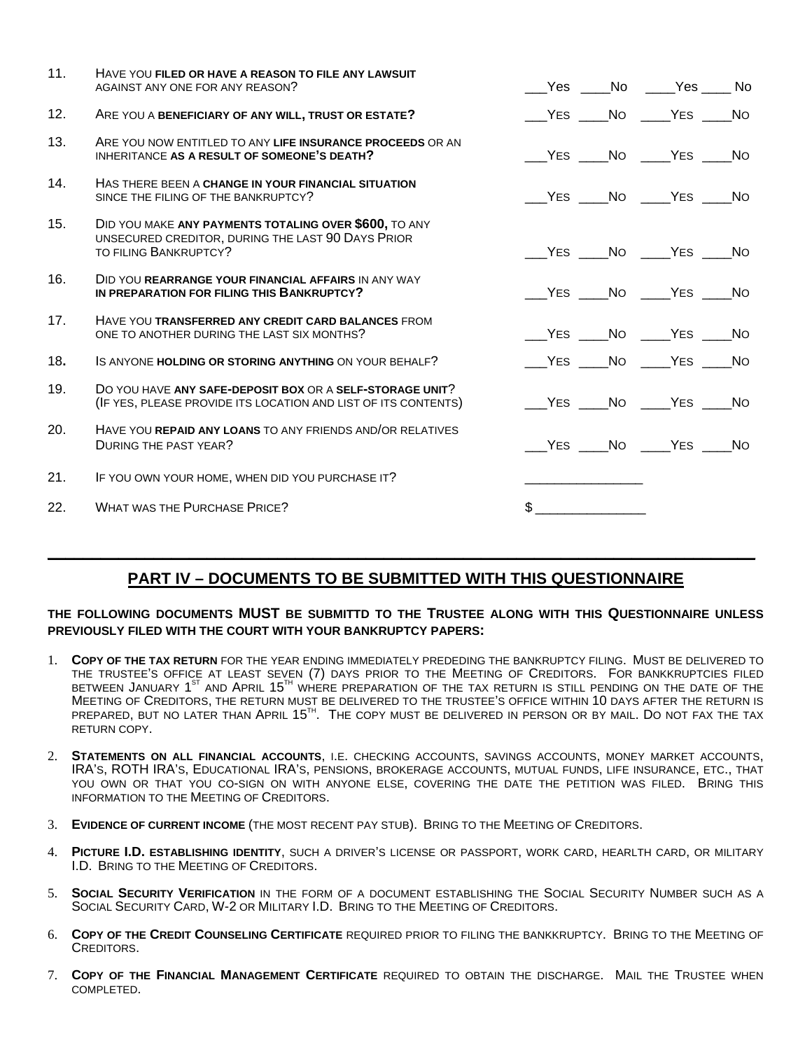| 11. | HAVE YOU FILED OR HAVE A REASON TO FILE ANY LAWSUIT<br>AGAINST ANY ONE FOR ANY REASON?                                              |             | ___Yes ____No ____Yes ____ No       |  |
|-----|-------------------------------------------------------------------------------------------------------------------------------------|-------------|-------------------------------------|--|
| 12. | ARE YOU A BENEFICIARY OF ANY WILL, TRUST OR ESTATE?                                                                                 |             |                                     |  |
| 13. | ARE YOU NOW ENTITLED TO ANY LIFE INSURANCE PROCEEDS OR AN<br>INHERITANCE AS A RESULT OF SOMEONE'S DEATH?                            |             | YES NO YES NO                       |  |
| 14. | HAS THERE BEEN A CHANGE IN YOUR FINANCIAL SITUATION<br>SINCE THE FILING OF THE BANKRUPTCY?                                          |             | VES No YES No                       |  |
| 15. | DID YOU MAKE ANY PAYMENTS TOTALING OVER \$600, TO ANY<br>UNSECURED CREDITOR, DURING THE LAST 90 DAYS PRIOR<br>TO FILING BANKRUPTCY? |             | YES NO YES NO                       |  |
| 16. | DID YOU REARRANGE YOUR FINANCIAL AFFAIRS IN ANY WAY<br>IN PREPARATION FOR FILING THIS BANKRUPTCY?                                   |             |                                     |  |
| 17. | HAVE YOU TRANSFERRED ANY CREDIT CARD BALANCES FROM<br>ONE TO ANOTHER DURING THE LAST SIX MONTHS?                                    |             |                                     |  |
| 18. | IS ANYONE HOLDING OR STORING ANYTHING ON YOUR BEHALF?                                                                               |             | _____YES ______NO ______YES _____NO |  |
| 19. | DO YOU HAVE ANY SAFE-DEPOSIT BOX OR A SELF-STORAGE UNIT?<br>(IF YES, PLEASE PROVIDE ITS LOCATION AND LIST OF ITS CONTENTS)          |             | VES No YES No                       |  |
| 20. | HAVE YOU REPAID ANY LOANS TO ANY FRIENDS AND/OR RELATIVES<br><b>DURING THE PAST YEAR?</b>                                           |             | VES No YES No                       |  |
| 21. | IF YOU OWN YOUR HOME, WHEN DID YOU PURCHASE IT?                                                                                     |             |                                     |  |
| 22. | <b>WHAT WAS THE PURCHASE PRICE?</b>                                                                                                 | $\mathbb S$ |                                     |  |

# **PART IV – DOCUMENTS TO BE SUBMITTED WITH THIS QUESTIONNAIRE**

**\_\_\_\_\_\_\_\_\_\_\_\_\_\_\_\_\_\_\_\_\_\_\_\_\_\_\_\_\_\_\_\_\_\_\_\_\_\_\_\_\_\_\_\_\_\_\_\_\_\_\_\_\_\_\_\_\_\_\_\_\_\_\_\_\_\_\_\_\_\_\_\_\_\_\_\_\_\_\_\_**

#### **THE FOLLOWING DOCUMENTS MUST BE SUBMITTD TO THE TRUSTEE ALONG WITH THIS QUESTIONNAIRE UNLESS PREVIOUSLY FILED WITH THE COURT WITH YOUR BANKRUPTCY PAPERS:**

- 1. **COPY OF THE TAX RETURN** FOR THE YEAR ENDING IMMEDIATELY PREDEDING THE BANKRUPTCY FILING. MUST BE DELIVERED TO THE TRUSTEE'S OFFICE AT LEAST SEVEN (7) DAYS PRIOR TO THE MEETING OF CREDITORS. FOR BANKKRUPTCIES FILED BETWEEN JANUARY 1<sup>st</sup> and April 15<sup>th</sup> where preparation of the tax return is still pending on the date of the MEETING OF CREDITORS, THE RETURN MUST BE DELIVERED TO THE TRUSTEE'S OFFICE WITHIN 10 DAYS AFTER THE RETURN IS prepared, but no later than April 15  $^{\text{\tiny{\textsf{TH}}}}$ . The copy must be delivered in person or by mail. Do not fax the tax RETURN COPY.
- 2. **STATEMENTS ON ALL FINANCIAL ACCOUNTS**, I.E. CHECKING ACCOUNTS, SAVINGS ACCOUNTS, MONEY MARKET ACCOUNTS, IRA'S, ROTH IRA'S, EDUCATIONAL IRA'S, PENSIONS, BROKERAGE ACCOUNTS, MUTUAL FUNDS, LIFE INSURANCE, ETC., THAT YOU OWN OR THAT YOU CO-SIGN ON WITH ANYONE ELSE, COVERING THE DATE THE PETITION WAS FILED. BRING THIS INFORMATION TO THE MEETING OF CREDITORS.
- 3. **EVIDENCE OF CURRENT INCOME** (THE MOST RECENT PAY STUB). BRING TO THE MEETING OF CREDITORS.
- 4. **PICTURE I.D. ESTABLISHING IDENTITY**, SUCH A DRIVER'S LICENSE OR PASSPORT, WORK CARD, HEARLTH CARD, OR MILITARY I.D. BRING TO THE MEETING OF CREDITORS.
- 5. **SOCIAL SECURITY VERIFICATION** IN THE FORM OF A DOCUMENT ESTABLISHING THE SOCIAL SECURITY NUMBER SUCH AS A SOCIAL SECURITY CARD, W-2 OR MILITARY I.D. BRING TO THE MEETING OF CREDITORS.
- 6. **COPY OF THE CREDIT COUNSELING CERTIFICATE** REQUIRED PRIOR TO FILING THE BANKKRUPTCY. BRING TO THE MEETING OF CREDITORS.
- 7. **COPY OF THE FINANCIAL MANAGEMENT CERTIFICATE** REQUIRED TO OBTAIN THE DISCHARGE. MAIL THE TRUSTEE WHEN COMPLETED.